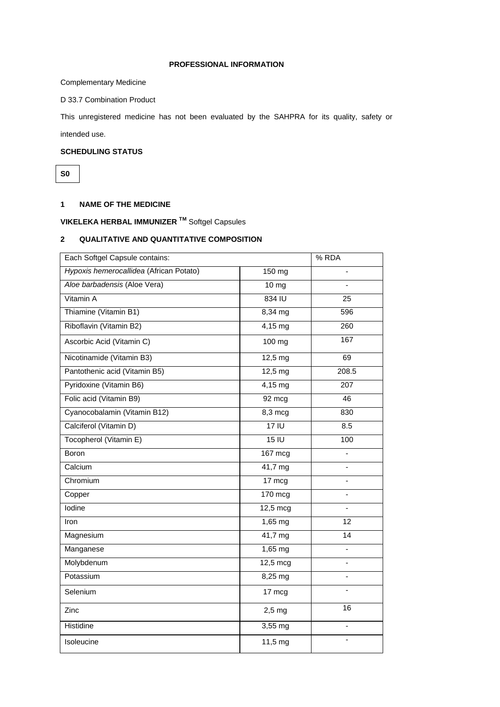## **PROFESSIONAL INFORMATION**

Complementary Medicine

D 33.7 Combination Product

This unregistered medicine has not been evaluated by the SAHPRA for its quality, safety or

intended use.

# **SCHEDULING STATUS**

**S0**

# **1 NAME OF THE MEDICINE**

**VIKELEKA HERBAL IMMUNIZER TM** Softgel Capsules

# **2 QUALITATIVE AND QUANTITATIVE COMPOSITION**

| Each Softgel Capsule contains:          |                              | % RDA           |
|-----------------------------------------|------------------------------|-----------------|
| Hypoxis hemerocallidea (African Potato) | 150 mg                       |                 |
| Aloe barbadensis (Aloe Vera)            | $10 \text{ mg}$              |                 |
| Vitamin A                               | 834 IU                       | 25              |
| Thiamine (Vitamin B1)                   | 8,34 mg                      | 596             |
| Riboflavin (Vitamin B2)                 | 4,15 mg                      | 260             |
| Ascorbic Acid (Vitamin C)               | 100 mg                       | 167             |
| Nicotinamide (Vitamin B3)               | $12,5 \text{ mg}$            | 69              |
| Pantothenic acid (Vitamin B5)           | $12,5$ mg                    | 208.5           |
| Pyridoxine (Vitamin B6)                 | $4,15$ mg                    | 207             |
| Folic acid (Vitamin B9)                 | 92 mcg                       | 46              |
| Cyanocobalamin (Vitamin B12)            | 8,3 mcg                      | 830             |
| Calciferol (Vitamin D)                  | 17IU                         | 8.5             |
| Tocopherol (Vitamin E)                  | 15 <sub>1</sub>              | 100             |
| <b>Boron</b>                            | 167 mcg                      | $\blacksquare$  |
| Calcium                                 | 41,7 mg                      | $\blacksquare$  |
| Chromium                                | 17 mcg                       | ÷,              |
| Copper                                  | 170 mcg                      | ä,              |
| lodine                                  | $12,5 \text{ mcg}$           |                 |
| Iron                                    | $1,65$ mg                    | $\overline{12}$ |
| Magnesium                               | $\overline{41,7}$ mg         | 14              |
| Manganese                               | 1,65 mg                      | ÷               |
| Molybdenum                              | 12,5 mcg                     |                 |
| Potassium                               | 8,25 mg                      | $\blacksquare$  |
| Selenium                                | 17 mcg                       |                 |
| Zinc                                    | $2,5$ mg                     | 16              |
| Histidine                               | $\overline{3,}55 \text{ mg}$ | $\blacksquare$  |
| Isoleucine                              | 11,5 mg                      | ÷               |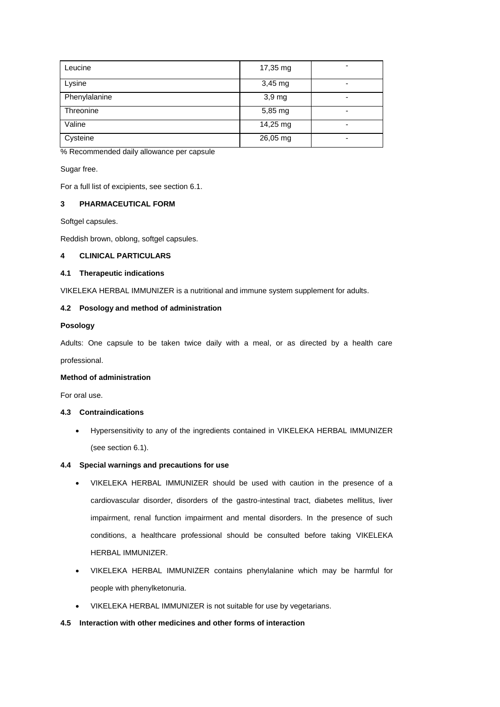| Leucine       | 17,35 mg | -                        |
|---------------|----------|--------------------------|
| Lysine        | 3,45 mg  | $\overline{\phantom{0}}$ |
| Phenylalanine | 3,9 mg   | $\overline{\phantom{0}}$ |
| Threonine     | 5,85 mg  | -                        |
| Valine        | 14,25 mg | ٠                        |
| Cysteine      | 26,05 mg | $\overline{\phantom{0}}$ |

% Recommended daily allowance per capsule

Sugar free.

For a full list of excipients, see section 6.1.

## **3 PHARMACEUTICAL FORM**

Softgel capsules.

Reddish brown, oblong, softgel capsules.

## **4 CLINICAL PARTICULARS**

### **4.1 Therapeutic indications**

VIKELEKA HERBAL IMMUNIZER is a nutritional and immune system supplement for adults.

# **4.2 Posology and method of administration**

## **Posology**

Adults: One capsule to be taken twice daily with a meal, or as directed by a health care professional.

### **Method of administration**

For oral use.

## **4.3 Contraindications**

 Hypersensitivity to any of the ingredients contained in VIKELEKA HERBAL IMMUNIZER (see section 6.1).

## **4.4 Special warnings and precautions for use**

- VIKELEKA HERBAL IMMUNIZER should be used with caution in the presence of a cardiovascular disorder, disorders of the gastro-intestinal tract, diabetes mellitus, liver impairment, renal function impairment and mental disorders. In the presence of such conditions, a healthcare professional should be consulted before taking VIKELEKA HERBAL IMMUNIZER.
- VIKELEKA HERBAL IMMUNIZER contains phenylalanine which may be harmful for people with phenylketonuria.
- VIKELEKA HERBAL IMMUNIZER is not suitable for use by vegetarians.

# **4.5 Interaction with other medicines and other forms of interaction**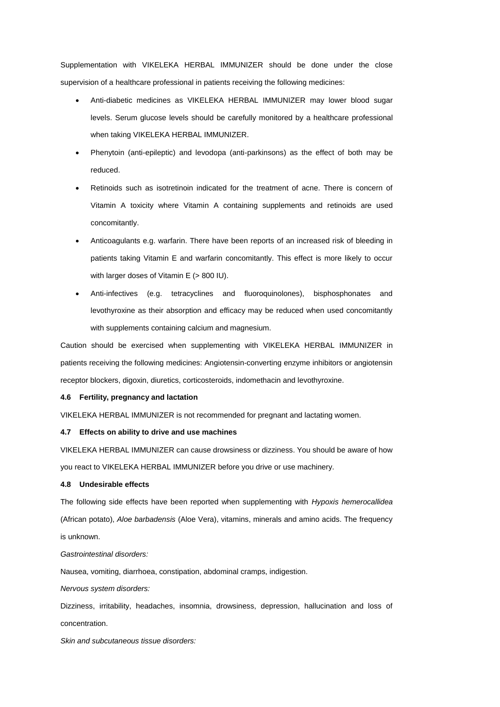Supplementation with VIKELEKA HERBAL IMMUNIZER should be done under the close supervision of a healthcare professional in patients receiving the following medicines:

- Anti-diabetic medicines as VIKELEKA HERBAL IMMUNIZER may lower blood sugar levels. Serum glucose levels should be carefully monitored by a healthcare professional when taking VIKELEKA HERBAL IMMUNIZER.
- Phenytoin (anti-epileptic) and levodopa (anti-parkinsons) as the effect of both may be reduced.
- Retinoids such as isotretinoin indicated for the treatment of acne. There is concern of Vitamin A toxicity where Vitamin A containing supplements and retinoids are used concomitantly.
- Anticoagulants e.g. warfarin. There have been reports of an increased risk of bleeding in patients taking Vitamin E and warfarin concomitantly. This effect is more likely to occur with larger doses of Vitamin E (> 800 IU).
- Anti-infectives (e.g. tetracyclines and fluoroquinolones), bisphosphonates and levothyroxine as their absorption and efficacy may be reduced when used concomitantly with supplements containing calcium and magnesium.

Caution should be exercised when supplementing with VIKELEKA HERBAL IMMUNIZER in patients receiving the following medicines: Angiotensin-converting enzyme inhibitors or angiotensin receptor blockers, digoxin, diuretics, corticosteroids, indomethacin and levothyroxine.

### **4.6 Fertility, pregnancy and lactation**

VIKELEKA HERBAL IMMUNIZER is not recommended for pregnant and lactating women.

### **4.7 Effects on ability to drive and use machines**

VIKELEKA HERBAL IMMUNIZER can cause drowsiness or dizziness. You should be aware of how you react to VIKELEKA HERBAL IMMUNIZER before you drive or use machinery.

### **4.8 Undesirable effects**

The following side effects have been reported when supplementing with *Hypoxis hemerocallidea*  (African potato), *Aloe barbadensis* (Aloe Vera), vitamins, minerals and amino acids. The frequency is unknown.

### *Gastrointestinal disorders:*

Nausea, vomiting, diarrhoea, constipation, abdominal cramps, indigestion.

*Nervous system disorders:*

Dizziness, irritability, headaches, insomnia, drowsiness, depression, hallucination and loss of concentration.

*Skin and subcutaneous tissue disorders:*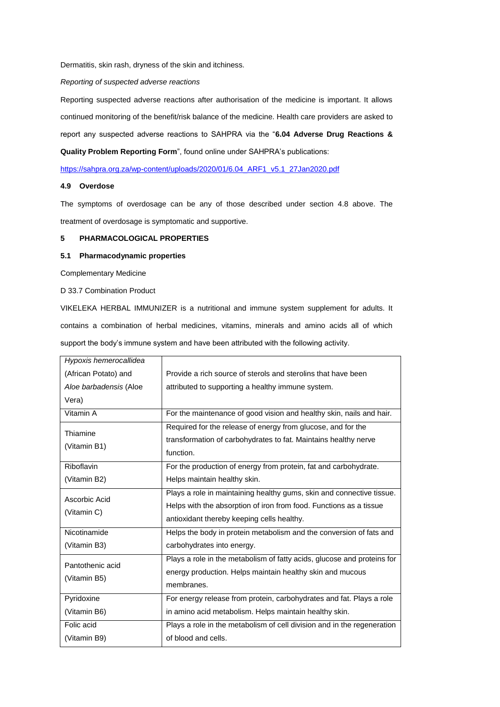Dermatitis, skin rash, dryness of the skin and itchiness.

*Reporting of suspected adverse reactions* 

Reporting suspected adverse reactions after authorisation of the medicine is important. It allows continued monitoring of the benefit/risk balance of the medicine. Health care providers are asked to report any suspected adverse reactions to SAHPRA via the "**6.04 Adverse Drug Reactions & Quality Problem Reporting Form**", found online under SAHPRA's publications:

[https://sahpra.org.za/wp-content/uploads/2020/01/6.04\\_ARF1\\_v5.1\\_27Jan2020.pdf](https://sahpra.org.za/wp-content/uploads/2020/01/6.04_ARF1_v5.1_27Jan2020.pdf)

### **4.9 Overdose**

The symptoms of overdosage can be any of those described under section 4.8 above. The treatment of overdosage is symptomatic and supportive.

### **5 PHARMACOLOGICAL PROPERTIES**

### **5.1 Pharmacodynamic properties**

Complementary Medicine

D 33.7 Combination Product

VIKELEKA HERBAL IMMUNIZER is a nutritional and immune system supplement for adults. It contains a combination of herbal medicines, vitamins, minerals and amino acids all of which support the body's immune system and have been attributed with the following activity.

| Hypoxis hemerocallidea           |                                                                                                                                                                                           |
|----------------------------------|-------------------------------------------------------------------------------------------------------------------------------------------------------------------------------------------|
| (African Potato) and             | Provide a rich source of sterols and sterolins that have been                                                                                                                             |
| Aloe barbadensis (Aloe           | attributed to supporting a healthy immune system.                                                                                                                                         |
| Vera)                            |                                                                                                                                                                                           |
| Vitamin A                        | For the maintenance of good vision and healthy skin, nails and hair.                                                                                                                      |
| Thiamine<br>(Vitamin B1)         | Required for the release of energy from glucose, and for the<br>transformation of carbohydrates to fat. Maintains healthy nerve<br>function.                                              |
| Riboflavin                       | For the production of energy from protein, fat and carbohydrate.                                                                                                                          |
| (Vitamin B2)                     | Helps maintain healthy skin.                                                                                                                                                              |
| Ascorbic Acid<br>(Vitamin C)     | Plays a role in maintaining healthy gums, skin and connective tissue.<br>Helps with the absorption of iron from food. Functions as a tissue<br>antioxidant thereby keeping cells healthy. |
| Nicotinamide                     | Helps the body in protein metabolism and the conversion of fats and                                                                                                                       |
| (Vitamin B3)                     | carbohydrates into energy.                                                                                                                                                                |
| Pantothenic acid<br>(Vitamin B5) | Plays a role in the metabolism of fatty acids, glucose and proteins for<br>energy production. Helps maintain healthy skin and mucous<br>membranes.                                        |
| Pyridoxine                       | For energy release from protein, carbohydrates and fat. Plays a role                                                                                                                      |
| (Vitamin B6)                     | in amino acid metabolism. Helps maintain healthy skin.                                                                                                                                    |
| Folic acid                       | Plays a role in the metabolism of cell division and in the regeneration                                                                                                                   |
| (Vitamin B9)                     | of blood and cells.                                                                                                                                                                       |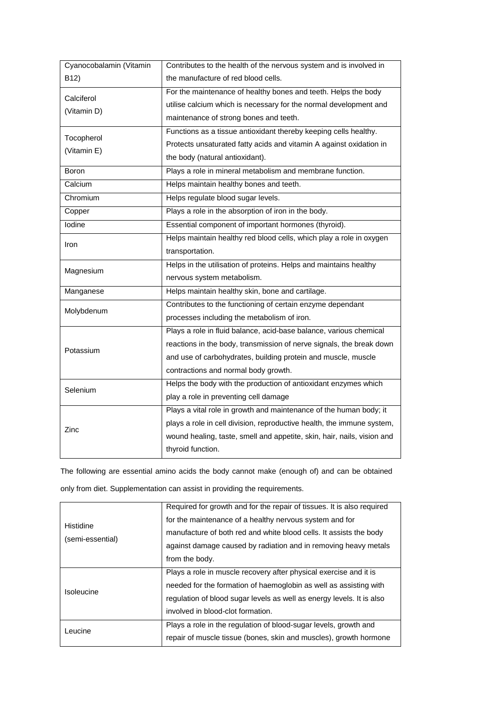| Cyanocobalamin (Vitamin | Contributes to the health of the nervous system and is involved in      |
|-------------------------|-------------------------------------------------------------------------|
| B12)                    | the manufacture of red blood cells.                                     |
| Calciferol              | For the maintenance of healthy bones and teeth. Helps the body          |
| (Vitamin D)             | utilise calcium which is necessary for the normal development and       |
|                         | maintenance of strong bones and teeth.                                  |
| Tocopherol              | Functions as a tissue antioxidant thereby keeping cells healthy.        |
| (Vitamin E)             | Protects unsaturated fatty acids and vitamin A against oxidation in     |
|                         | the body (natural antioxidant).                                         |
| Boron                   | Plays a role in mineral metabolism and membrane function.               |
| Calcium                 | Helps maintain healthy bones and teeth.                                 |
| Chromium                | Helps regulate blood sugar levels.                                      |
| Copper                  | Plays a role in the absorption of iron in the body.                     |
| lodine                  | Essential component of important hormones (thyroid).                    |
| Iron                    | Helps maintain healthy red blood cells, which play a role in oxygen     |
|                         | transportation.                                                         |
| Magnesium               | Helps in the utilisation of proteins. Helps and maintains healthy       |
|                         | nervous system metabolism.                                              |
| Manganese               | Helps maintain healthy skin, bone and cartilage.                        |
|                         | Contributes to the functioning of certain enzyme dependant              |
| Molybdenum              | processes including the metabolism of iron.                             |
|                         | Plays a role in fluid balance, acid-base balance, various chemical      |
| Potassium               | reactions in the body, transmission of nerve signals, the break down    |
|                         | and use of carbohydrates, building protein and muscle, muscle           |
|                         | contractions and normal body growth.                                    |
| Selenium                | Helps the body with the production of antioxidant enzymes which         |
|                         | play a role in preventing cell damage                                   |
| Zinc                    | Plays a vital role in growth and maintenance of the human body; it      |
|                         | plays a role in cell division, reproductive health, the immune system,  |
|                         | wound healing, taste, smell and appetite, skin, hair, nails, vision and |
|                         | thyroid function.                                                       |

The following are essential amino acids the body cannot make (enough of) and can be obtained

only from diet. Supplementation can assist in providing the requirements.

| Histidine<br>(semi-essential) | Required for growth and for the repair of tissues. It is also required<br>for the maintenance of a healthy nervous system and for |
|-------------------------------|-----------------------------------------------------------------------------------------------------------------------------------|
|                               | manufacture of both red and white blood cells. It assists the body                                                                |
|                               | against damage caused by radiation and in removing heavy metals<br>from the body.                                                 |
|                               |                                                                                                                                   |
|                               | Plays a role in muscle recovery after physical exercise and it is                                                                 |
| Isoleucine                    | needed for the formation of haemoglobin as well as assisting with                                                                 |
|                               | regulation of blood sugar levels as well as energy levels. It is also                                                             |
|                               | involved in blood-clot formation.                                                                                                 |
| Leucine                       | Plays a role in the regulation of blood-sugar levels, growth and                                                                  |
|                               | repair of muscle tissue (bones, skin and muscles), growth hormone                                                                 |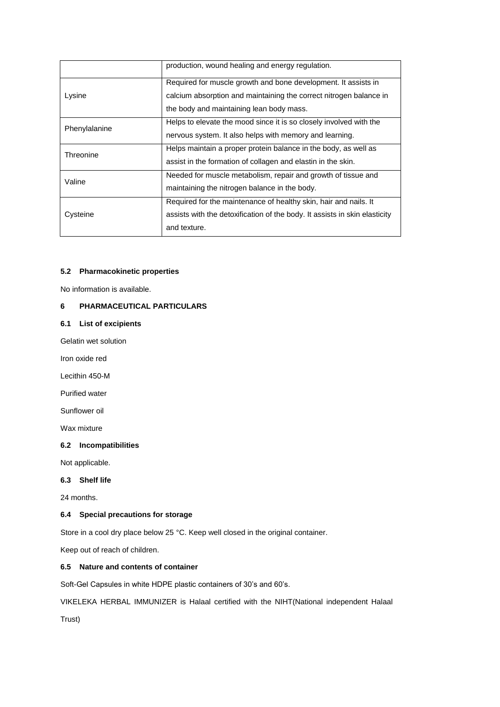|               | production, wound healing and energy regulation.                           |
|---------------|----------------------------------------------------------------------------|
|               | Required for muscle growth and bone development. It assists in             |
| Lysine        | calcium absorption and maintaining the correct nitrogen balance in         |
|               | the body and maintaining lean body mass.                                   |
| Phenylalanine | Helps to elevate the mood since it is so closely involved with the         |
|               | nervous system. It also helps with memory and learning.                    |
| Threonine     | Helps maintain a proper protein balance in the body, as well as            |
|               | assist in the formation of collagen and elastin in the skin.               |
| Valine        | Needed for muscle metabolism, repair and growth of tissue and              |
|               | maintaining the nitrogen balance in the body.                              |
|               | Required for the maintenance of healthy skin, hair and nails. It           |
| Cysteine      | assists with the detoxification of the body. It assists in skin elasticity |
|               | and texture.                                                               |

# **5.2 Pharmacokinetic properties**

No information is available.

## **6 PHARMACEUTICAL PARTICULARS**

## **6.1 List of excipients**

Gelatin wet solution

Iron oxide red

Lecithin 450-M

Purified water

Sunflower oil

Wax mixture

## **6.2 Incompatibilities**

Not applicable.

# **6.3 Shelf life**

24 months.

# **6.4 Special precautions for storage**

Store in a cool dry place below 25 °C. Keep well closed in the original container.

Keep out of reach of children.

# **6.5 Nature and contents of container**

Soft-Gel Capsules in white HDPE plastic containers of 30's and 60's.

VIKELEKA HERBAL IMMUNIZER is Halaal certified with the NIHT(National independent Halaal

Trust)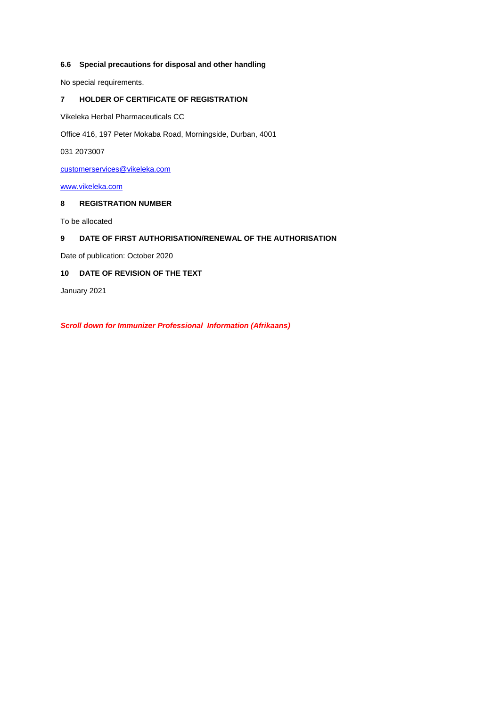## **6.6 Special precautions for disposal and other handling**

No special requirements.

# **7 HOLDER OF CERTIFICATE OF REGISTRATION**

Vikeleka Herbal Pharmaceuticals CC

Office 416, 197 Peter Mokaba Road, Morningside, Durban, 4001

031 2073007

customerservices@vikeleka.com

[www.vikeleka.com](http://www.vikeleka.com/)

# **8 REGISTRATION NUMBER**

To be allocated

# **9 DATE OF FIRST AUTHORISATION/RENEWAL OF THE AUTHORISATION**

Date of publication: October 2020

# **10 DATE OF REVISION OF THE TEXT**

January 2021

*Scroll down for Immunizer Professional Information (Afrikaans)*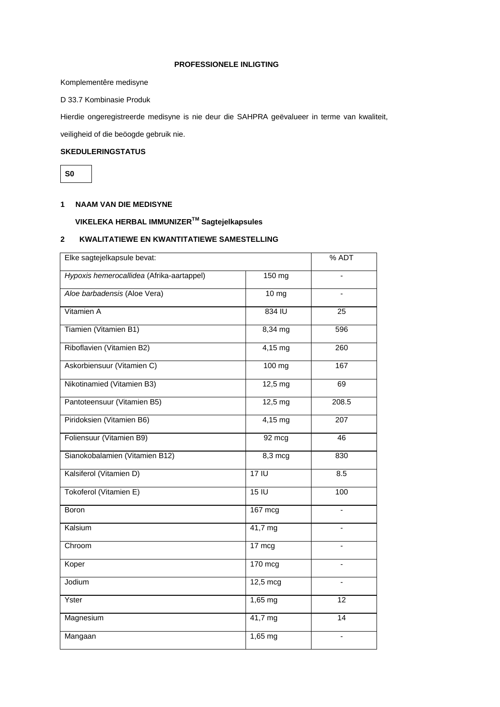### **PROFESSIONELE INLIGTING**

Komplementêre medisyne

D 33.7 Kombinasie Produk

Hierdie ongeregistreerde medisyne is nie deur die SAHPRA geëvalueer in terme van kwaliteit,

veiligheid of die beöogde gebruik nie.

# **SKEDULERINGSTATUS**

**S0**

# **1 NAAM VAN DIE MEDISYNE**

# **VIKELEKA HERBAL IMMUNIZERTM Sagtejelkapsules**

# **2 KWALITATIEWE EN KWANTITATIEWE SAMESTELLING**

| Elke sagtejelkapsule bevat:               |                    | $\overline{\%}$ ADT          |
|-------------------------------------------|--------------------|------------------------------|
| Hypoxis hemerocallidea (Afrika-aartappel) | 150 mg             |                              |
| Aloe barbadensis (Aloe Vera)              | $10 \, \text{mg}$  |                              |
| Vitamien A                                | 834 IU             | 25                           |
| Tiamien (Vitamien B1)                     | 8,34 mg            | 596                          |
| Riboflavien (Vitamien B2)                 | $4,15$ mg          | 260                          |
| Askorbiensuur (Vitamien C)                | $100$ mg           | 167                          |
| Nikotinamied (Vitamien B3)                | 12,5 mg            | 69                           |
| Pantoteensuur (Vitamien B5)               | $12,5$ mg          | 208.5                        |
| Piridoksien (Vitamien B6)                 | $4,15$ mg          | 207                          |
| Foliensuur (Vitamien B9)                  | 92 mcg             | 46                           |
| Sianokobalamien (Vitamien B12)            | $8,3 \text{ mcg}$  | 830                          |
| Kalsiferol (Vitamien D)                   | 17 <sup>1</sup>    | 8.5                          |
| Tokoferol (Vitamien E)                    | 15 <sub>1</sub>    | 100                          |
| Boron                                     | 167 mcg            | ÷,                           |
| Kalsium                                   | 41,7 mg            |                              |
| Chroom                                    | 17 mcg             |                              |
| Koper                                     | 170 mcg            |                              |
| Jodium                                    | $12,5 \text{ mcg}$ |                              |
| Yster                                     | 1,65 mg            | 12                           |
| Magnesium                                 | 41,7 mg            | 14                           |
| Mangaan                                   | 1,65 mg            | $\qquad \qquad \blacksquare$ |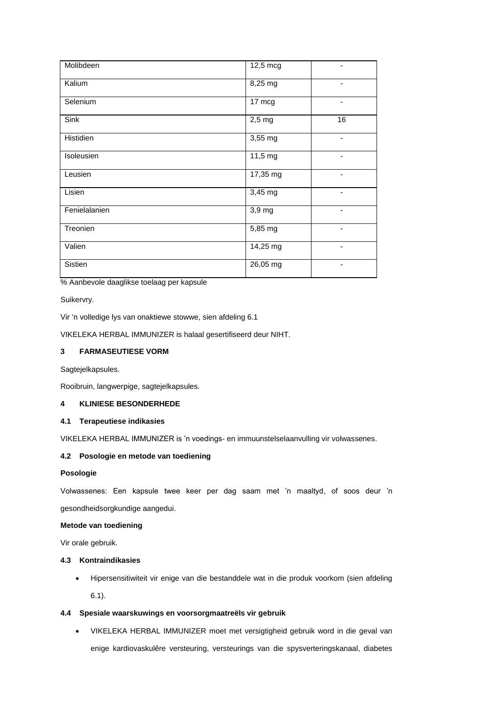| Molibdeen     | 12,5 mcg |                          |
|---------------|----------|--------------------------|
| Kalium        | 8,25 mg  | $\overline{\phantom{a}}$ |
| Selenium      | 17 mcg   | $\overline{\phantom{a}}$ |
| Sink          | $2,5$ mg | 16                       |
| Histidien     | 3,55 mg  | $\overline{\phantom{a}}$ |
| Isoleusien    | 11,5 mg  |                          |
| Leusien       | 17,35 mg | -                        |
| Lisien        | 3,45 mg  | -                        |
| Fenielalanien | 3,9 mg   | -                        |
| Treonien      | 5,85 mg  | -                        |
| Valien        | 14,25 mg | -                        |
| Sistien       | 26,05 mg | $\overline{\phantom{a}}$ |

% Aanbevole daaglikse toelaag per kapsule

Suikervry.

Vir 'n volledige lys van onaktiewe stowwe, sien afdeling 6.1

VIKELEKA HERBAL IMMUNIZER is halaal gesertifiseerd deur NIHT.

## **3 FARMASEUTIESE VORM**

Sagtejelkapsules.

Rooibruin, langwerpige, sagtejelkapsules.

# **4 KLINIESE BESONDERHEDE**

### **4.1 Terapeutiese indikasies**

VIKELEKA HERBAL IMMUNIZER is 'n voedings- en immuunstelselaanvulling vir volwassenes.

# **4.2 Posologie en metode van toediening**

### **Posologie**

Volwassenes: Een kapsule twee keer per dag saam met 'n maaltyd, of soos deur 'n gesondheidsorgkundige aangedui.

### **Metode van toediening**

Vir orale gebruik.

### **4.3 Kontraindikasies**

 Hipersensitiwiteit vir enige van die bestanddele wat in die produk voorkom (sien afdeling 6.1).

### **4.4 Spesiale waarskuwings en voorsorgmaatreëls vir gebruik**

 VIKELEKA HERBAL IMMUNIZER moet met versigtigheid gebruik word in die geval van enige kardiovaskulêre versteuring, versteurings van die spysverteringskanaal, diabetes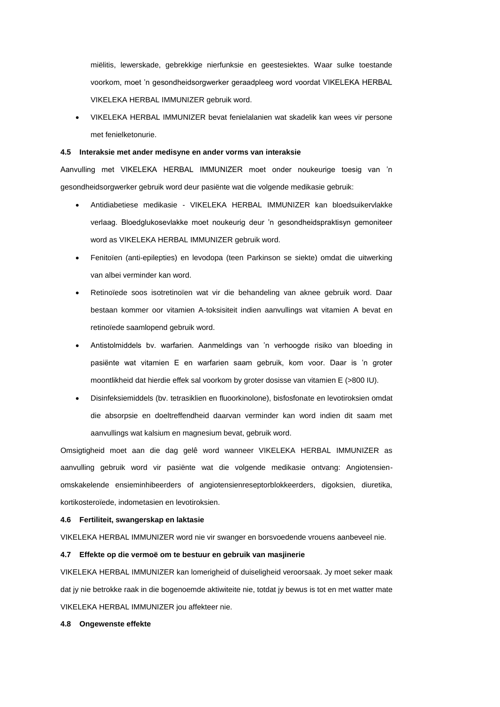miëlitis, lewerskade, gebrekkige nierfunksie en geestesiektes. Waar sulke toestande voorkom, moet 'n gesondheidsorgwerker geraadpleeg word voordat VIKELEKA HERBAL VIKELEKA HERBAL IMMUNIZER gebruik word.

 VIKELEKA HERBAL IMMUNIZER bevat fenielalanien wat skadelik kan wees vir persone met fenielketonurie.

### **4.5 Interaksie met ander medisyne en ander vorms van interaksie**

Aanvulling met VIKELEKA HERBAL IMMUNIZER moet onder noukeurige toesig van 'n gesondheidsorgwerker gebruik word deur pasiënte wat die volgende medikasie gebruik:

- Antidiabetiese medikasie VIKELEKA HERBAL IMMUNIZER kan bloedsuikervlakke verlaag. Bloedglukosevlakke moet noukeurig deur 'n gesondheidspraktisyn gemoniteer word as VIKELEKA HERBAL IMMUNIZER gebruik word.
- Fenitoïen (anti-epilepties) en levodopa (teen Parkinson se siekte) omdat die uitwerking van albei verminder kan word.
- Retinoïede soos isotretinoïen wat vir die behandeling van aknee gebruik word. Daar bestaan kommer oor vitamien A-toksisiteit indien aanvullings wat vitamien A bevat en retinoïede saamlopend gebruik word.
- Antistolmiddels bv. warfarien. Aanmeldings van 'n verhoogde risiko van bloeding in pasiënte wat vitamien E en warfarien saam gebruik, kom voor. Daar is 'n groter moontlikheid dat hierdie effek sal voorkom by groter dosisse van vitamien E (>800 IU).
- Disinfeksiemiddels (bv. tetrasiklien en fluoorkinolone), bisfosfonate en levotiroksien omdat die absorpsie en doeltreffendheid daarvan verminder kan word indien dit saam met aanvullings wat kalsium en magnesium bevat, gebruik word.

Omsigtigheid moet aan die dag gelê word wanneer VIKELEKA HERBAL IMMUNIZER as aanvulling gebruik word vir pasiënte wat die volgende medikasie ontvang: Angiotensienomskakelende ensieminhibeerders of angiotensienreseptorblokkeerders, digoksien, diuretika, kortikosteroïede, indometasien en levotiroksien.

### **4.6 Fertiliteit, swangerskap en laktasie**

VIKELEKA HERBAL IMMUNIZER word nie vir swanger en borsvoedende vrouens aanbeveel nie.

### **4.7 Effekte op die vermoë om te bestuur en gebruik van masjinerie**

VIKELEKA HERBAL IMMUNIZER kan lomerigheid of duiseligheid veroorsaak. Jy moet seker maak dat jy nie betrokke raak in die bogenoemde aktiwiteite nie, totdat jy bewus is tot en met watter mate VIKELEKA HERBAL IMMUNIZER jou affekteer nie.

#### **4.8 Ongewenste effekte**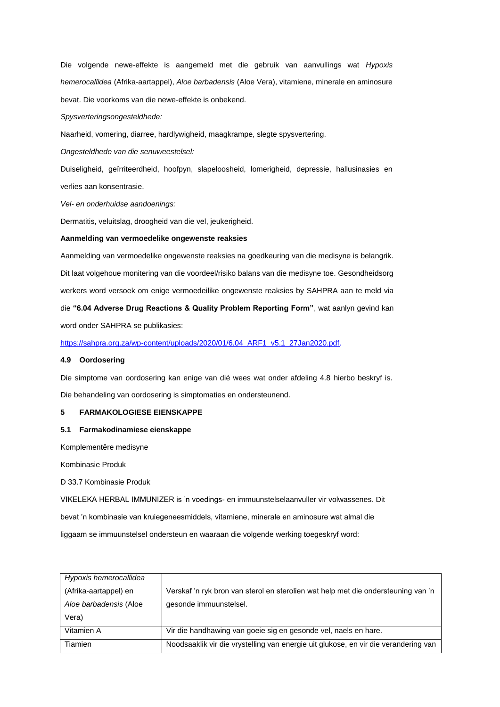Die volgende newe-effekte is aangemeld met die gebruik van aanvullings wat *Hypoxis hemerocallidea* (Afrika-aartappel), *Aloe barbadensis* (Aloe Vera), vitamiene, minerale en aminosure bevat. Die voorkoms van die newe-effekte is onbekend.

*Spysverteringsongesteldhede:*

Naarheid, vomering, diarree, hardlywigheid, maagkrampe, slegte spysvertering.

*Ongesteldhede van die senuweestelsel:*

Duiseligheid, geïrriteerdheid, hoofpyn, slapeloosheid, lomerigheid, depressie, hallusinasies en verlies aan konsentrasie.

*Vel- en onderhuidse aandoenings:*

Dermatitis, veluitslag, droogheid van die vel, jeukerigheid.

### **Aanmelding van vermoedelike ongewenste reaksies**

Aanmelding van vermoedelike ongewenste reaksies na goedkeuring van die medisyne is belangrik. Dit laat volgehoue monitering van die voordeel/risiko balans van die medisyne toe. Gesondheidsorg werkers word versoek om enige vermoedeilike ongewenste reaksies by SAHPRA aan te meld via die **"6.04 Adverse Drug Reactions & Quality Problem Reporting Form"**, wat aanlyn gevind kan word onder SAHPRA se publikasies:

[https://sahpra.org.za/wp-content/uploads/2020/01/6.04\\_ARF1\\_v5.1\\_27Jan2020.pdf.](https://sahpra.org.za/wp-content/uploads/2020/01/6.04_ARF1_v5.1_27Jan2020.pdf)

### **4.9 Oordosering**

Die simptome van oordosering kan enige van dié wees wat onder afdeling 4.8 hierbo beskryf is.

Die behandeling van oordosering is simptomaties en ondersteunend.

### **5 FARMAKOLOGIESE EIENSKAPPE**

### **5.1 Farmakodinamiese eienskappe**

Komplementêre medisyne

Kombinasie Produk

D 33.7 Kombinasie Produk

VIKELEKA HERBAL IMMUNIZER is 'n voedings- en immuunstelselaanvuller vir volwassenes. Dit

bevat 'n kombinasie van kruiegeneesmiddels, vitamiene, minerale en aminosure wat almal die

liggaam se immuunstelsel ondersteun en waaraan die volgende werking toegeskryf word:

| Hypoxis hemerocallidea |                                                                                     |
|------------------------|-------------------------------------------------------------------------------------|
| (Afrika-aartappel) en  | Verskaf 'n ryk bron van sterol en sterolien wat help met die ondersteuning van 'n   |
| Aloe barbadensis (Aloe | gesonde immuunstelsel.                                                              |
| Vera)                  |                                                                                     |
| Vitamien A             | Vir die handhawing van goeie sig en gesonde vel, naels en hare.                     |
| Tiamien                | Noodsaaklik vir die vrystelling van energie uit glukose, en vir die verandering van |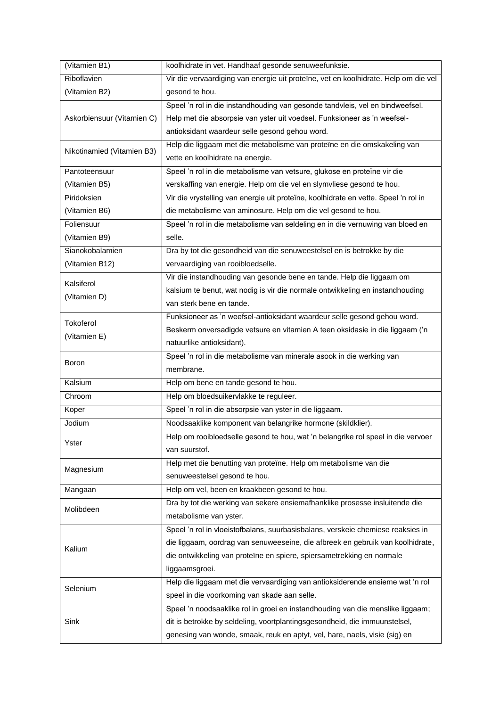| (Vitamien B1)              | koolhidrate in vet. Handhaaf gesonde senuweefunksie.                                |
|----------------------------|-------------------------------------------------------------------------------------|
| Riboflavien                | Vir die vervaardiging van energie uit proteïne, vet en koolhidrate. Help om die vel |
| (Vitamien B2)              | gesond te hou.                                                                      |
|                            | Speel 'n rol in die instandhouding van gesonde tandvleis, vel en bindweefsel.       |
| Askorbiensuur (Vitamien C) | Help met die absorpsie van yster uit voedsel. Funksioneer as 'n weefsel-            |
|                            | antioksidant waardeur selle gesond gehou word.                                      |
|                            | Help die liggaam met die metabolisme van proteïne en die omskakeling van            |
| Nikotinamied (Vitamien B3) | vette en koolhidrate na energie.                                                    |
| Pantoteensuur              | Speel 'n rol in die metabolisme van vetsure, glukose en proteïne vir die            |
| (Vitamien B5)              | verskaffing van energie. Help om die vel en slymvliese gesond te hou.               |
| Piridoksien                | Vir die vrystelling van energie uit proteïne, koolhidrate en vette. Speel 'n rol in |
| (Vitamien B6)              | die metabolisme van aminosure. Help om die vel gesond te hou.                       |
| Foliensuur                 | Speel 'n rol in die metabolisme van seldeling en in die vernuwing van bloed en      |
| (Vitamien B9)              | selle.                                                                              |
| Sianokobalamien            | Dra by tot die gesondheid van die senuweestelsel en is betrokke by die              |
| (Vitamien B12)             | vervaardiging van rooibloedselle.                                                   |
|                            | Vir die instandhouding van gesonde bene en tande. Help die liggaam om               |
| Kalsiferol                 | kalsium te benut, wat nodig is vir die normale ontwikkeling en instandhouding       |
| (Vitamien D)               | van sterk bene en tande.                                                            |
|                            | Funksioneer as 'n weefsel-antioksidant waardeur selle gesond gehou word.            |
| Tokoferol                  | Beskerm onversadigde vetsure en vitamien A teen oksidasie in die liggaam ('n        |
| (Vitamien E)               | natuurlike antioksidant).                                                           |
|                            | Speel 'n rol in die metabolisme van minerale asook in die werking van               |
| Boron                      | membrane.                                                                           |
| Kalsium                    | Help om bene en tande gesond te hou.                                                |
| Chroom                     | Help om bloedsuikervlakke te reguleer.                                              |
| Koper                      | Speel 'n rol in die absorpsie van yster in die liggaam.                             |
| Jodium                     | Noodsaaklike komponent van belangrike hormone (skildklier).                         |
|                            |                                                                                     |
|                            | Help om rooibloedselle gesond te hou, wat 'n belangrike rol speel in die vervoer    |
| Yster                      | van suurstof.                                                                       |
|                            | Help met die benutting van proteïne. Help om metabolisme van die                    |
| Magnesium                  | senuweestelsel gesond te hou.                                                       |
| Mangaan                    | Help om vel, been en kraakbeen gesond te hou.                                       |
|                            | Dra by tot die werking van sekere ensiemafhanklike prosesse insluitende die         |
| Molibdeen                  | metabolisme van yster.                                                              |
|                            | Speel 'n rol in vloeistofbalans, suurbasisbalans, verskeie chemiese reaksies in     |
|                            | die liggaam, oordrag van senuweeseine, die afbreek en gebruik van koolhidrate,      |
| Kalium                     | die ontwikkeling van proteïne en spiere, spiersametrekking en normale               |
|                            | liggaamsgroei.                                                                      |
|                            | Help die liggaam met die vervaardiging van antioksiderende ensieme wat 'n rol       |
| Selenium                   | speel in die voorkoming van skade aan selle.                                        |
|                            | Speel 'n noodsaaklike rol in groei en instandhouding van die menslike liggaam;      |
| Sink                       | dit is betrokke by seldeling, voortplantingsgesondheid, die immuunstelsel,          |
|                            | genesing van wonde, smaak, reuk en aptyt, vel, hare, naels, visie (sig) en          |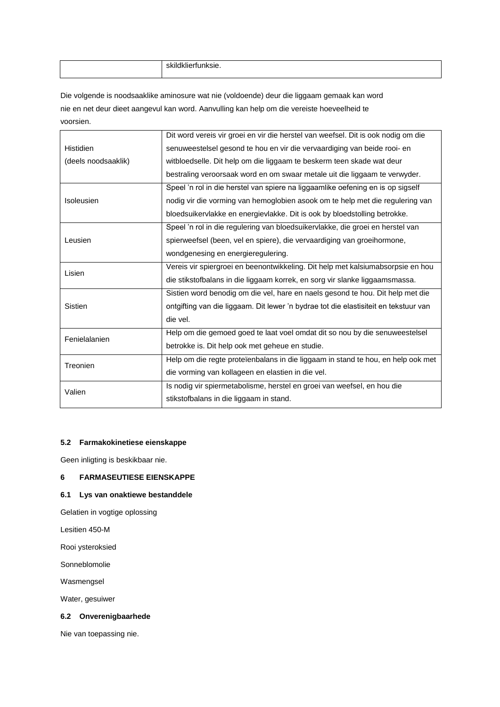| . |
|---|
|   |

Die volgende is noodsaaklike aminosure wat nie (voldoende) deur die liggaam gemaak kan word nie en net deur dieet aangevul kan word. Aanvulling kan help om die vereiste hoeveelheid te voorsien.

|                     | Dit word vereis vir groei en vir die herstel van weefsel. Dit is ook nodig om die    |
|---------------------|--------------------------------------------------------------------------------------|
| <b>Histidien</b>    | senuweestelsel gesond te hou en vir die vervaardiging van beide rooi- en             |
| (deels noodsaaklik) | witbloedselle. Dit help om die liggaam te beskerm teen skade wat deur                |
|                     | bestraling veroorsaak word en om swaar metale uit die liggaam te verwyder.           |
|                     | Speel 'n rol in die herstel van spiere na liggaamlike oefening en is op sigself      |
| Isoleusien          | nodig vir die vorming van hemoglobien asook om te help met die regulering van        |
|                     | bloedsuikervlakke en energievlakke. Dit is ook by bloedstolling betrokke.            |
|                     | Speel 'n rol in die regulering van bloedsuikervlakke, die groei en herstel van       |
| Leusien             | spierweefsel (been, vel en spiere), die vervaardiging van groeihormone,              |
|                     | wondgenesing en energieregulering.                                                   |
| Lisien              | Vereis vir spiergroei en beenontwikkeling. Dit help met kalsiumabsorpsie en hou      |
|                     | die stikstofbalans in die liggaam korrek, en sorg vir slanke liggaamsmassa.          |
|                     | Sistien word benodig om die vel, hare en naels gesond te hou. Dit help met die       |
| Sistien             | ontgifting van die liggaam. Dit lewer 'n bydrae tot die elastisiteit en tekstuur van |
|                     | die vel.                                                                             |
| Fenielalanien       | Help om die gemoed goed te laat voel omdat dit so nou by die senuweestelsel          |
|                     | betrokke is. Dit help ook met geheue en studie.                                      |
| Treonien            | Help om die regte proteïenbalans in die liggaam in stand te hou, en help ook met     |
|                     | die vorming van kollageen en elastien in die vel.                                    |
| Valien              | Is nodig vir spiermetabolisme, herstel en groei van weefsel, en hou die              |
|                     | stikstofbalans in die liggaam in stand.                                              |

### **5.2 Farmakokinetiese eienskappe**

Geen inligting is beskikbaar nie.

## **6 FARMASEUTIESE EIENSKAPPE**

### **6.1 Lys van onaktiewe bestanddele**

Gelatien in vogtige oplossing

Lesitien 450-M

Rooi ysteroksied

Sonneblomolie

Wasmengsel

Water, gesuiwer

### **6.2 Onverenigbaarhede**

Nie van toepassing nie.